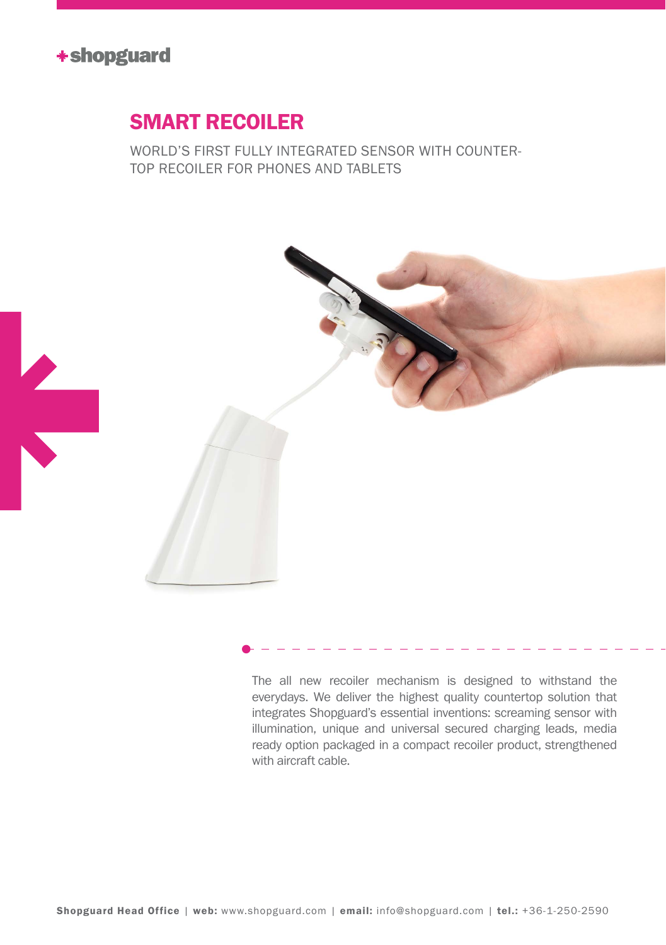

## Smart recoiler

world's first fully integrated sensor with countertop recoiler for phones and tablets



The all new recoiler mechanism is designed to withstand the everydays. We deliver the highest quality countertop solution that integrates Shopguard's essential inventions: screaming sensor with illumination, unique and universal secured charging leads, media ready option packaged in a compact recoiler product, strengthened with aircraft cable.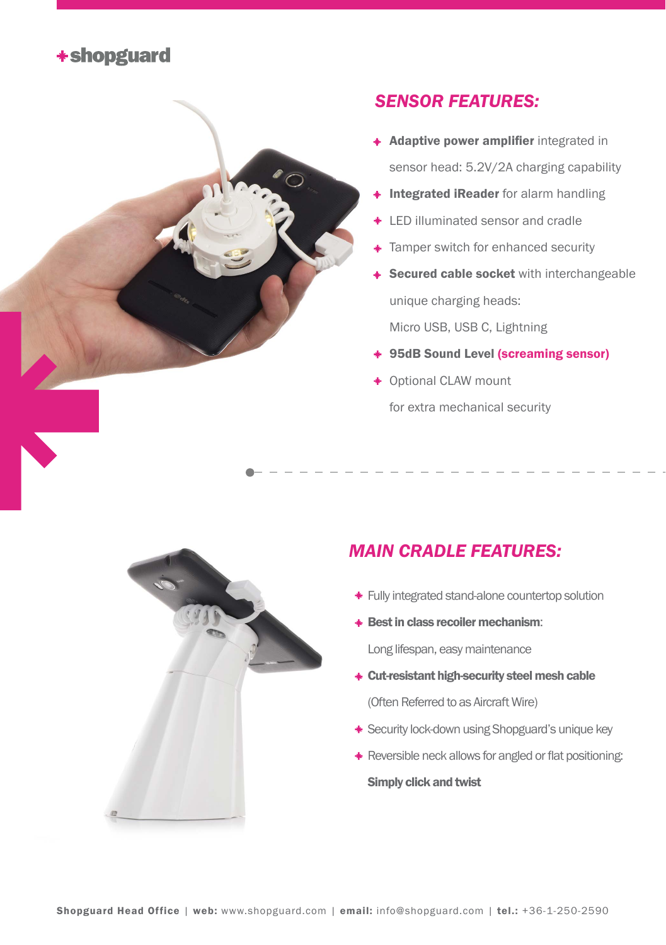



## *sensor Features:*

- **Adaptive power amplifier** integrated in sensor head: 5.2V/2A charging capability
- + Integrated iReader for alarm handling
- **+ LED illuminated sensor and cradle**
- **Tamper switch for enhanced security**
- **Secured cable socket** with interchangeable unique charging heads:

Micro USB, USB C, Lightning

- 95dB Sound Level (screaming sensor)
- Optional CLAW mount for extra mechanical security



## *Main cradle features:*

- Fully integrated stand-alone countertop solution
- **\* Best in class recoiler mechanism:**

Long lifespan, easy maintenance

- Cut-resistant high-security steel mesh cable (Often Referred to as Aircraft Wire)
- **\*** Security lock-down using Shopguard's unique key
- \* Reversible neck allows for angled or flat positioning: Simply click and twist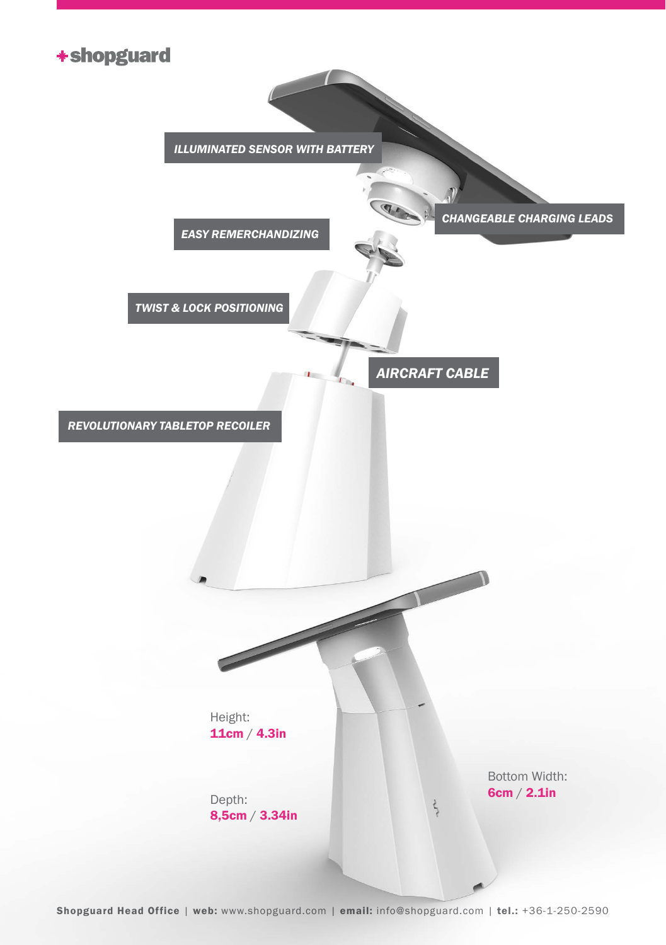